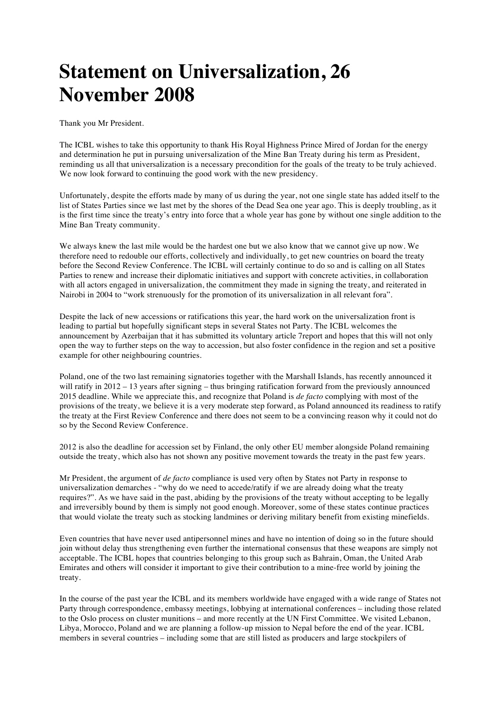## **Statement on Universalization, 26 November 2008**

Thank you Mr President.

The ICBL wishes to take this opportunity to thank His Royal Highness Prince Mired of Jordan for the energy and determination he put in pursuing universalization of the Mine Ban Treaty during his term as President, reminding us all that universalization is a necessary precondition for the goals of the treaty to be truly achieved. We now look forward to continuing the good work with the new presidency.

Unfortunately, despite the efforts made by many of us during the year, not one single state has added itself to the list of States Parties since we last met by the shores of the Dead Sea one year ago. This is deeply troubling, as it is the first time since the treaty's entry into force that a whole year has gone by without one single addition to the Mine Ban Treaty community.

We always knew the last mile would be the hardest one but we also know that we cannot give up now. We therefore need to redouble our efforts, collectively and individually, to get new countries on board the treaty before the Second Review Conference. The ICBL will certainly continue to do so and is calling on all States Parties to renew and increase their diplomatic initiatives and support with concrete activities, in collaboration with all actors engaged in universalization, the commitment they made in signing the treaty, and reiterated in Nairobi in 2004 to "work strenuously for the promotion of its universalization in all relevant fora".

Despite the lack of new accessions or ratifications this year, the hard work on the universalization front is leading to partial but hopefully significant steps in several States not Party. The ICBL welcomes the announcement by Azerbaijan that it has submitted its voluntary article 7report and hopes that this will not only open the way to further steps on the way to accession, but also foster confidence in the region and set a positive example for other neighbouring countries.

Poland, one of the two last remaining signatories together with the Marshall Islands, has recently announced it will ratify in 2012 – 13 years after signing – thus bringing ratification forward from the previously announced 2015 deadline. While we appreciate this, and recognize that Poland is *de facto* complying with most of the provisions of the treaty, we believe it is a very moderate step forward, as Poland announced its readiness to ratify the treaty at the First Review Conference and there does not seem to be a convincing reason why it could not do so by the Second Review Conference.

2012 is also the deadline for accession set by Finland, the only other EU member alongside Poland remaining outside the treaty, which also has not shown any positive movement towards the treaty in the past few years.

Mr President, the argument of *de facto* compliance is used very often by States not Party in response to universalization demarches - "why do we need to accede/ratify if we are already doing what the treaty requires?". As we have said in the past, abiding by the provisions of the treaty without accepting to be legally and irreversibly bound by them is simply not good enough. Moreover, some of these states continue practices that would violate the treaty such as stocking landmines or deriving military benefit from existing minefields.

Even countries that have never used antipersonnel mines and have no intention of doing so in the future should join without delay thus strengthening even further the international consensus that these weapons are simply not acceptable. The ICBL hopes that countries belonging to this group such as Bahrain, Oman, the United Arab Emirates and others will consider it important to give their contribution to a mine-free world by joining the treaty.

In the course of the past year the ICBL and its members worldwide have engaged with a wide range of States not Party through correspondence, embassy meetings, lobbying at international conferences – including those related to the Oslo process on cluster munitions – and more recently at the UN First Committee. We visited Lebanon, Libya, Morocco, Poland and we are planning a follow-up mission to Nepal before the end of the year. ICBL members in several countries – including some that are still listed as producers and large stockpilers of